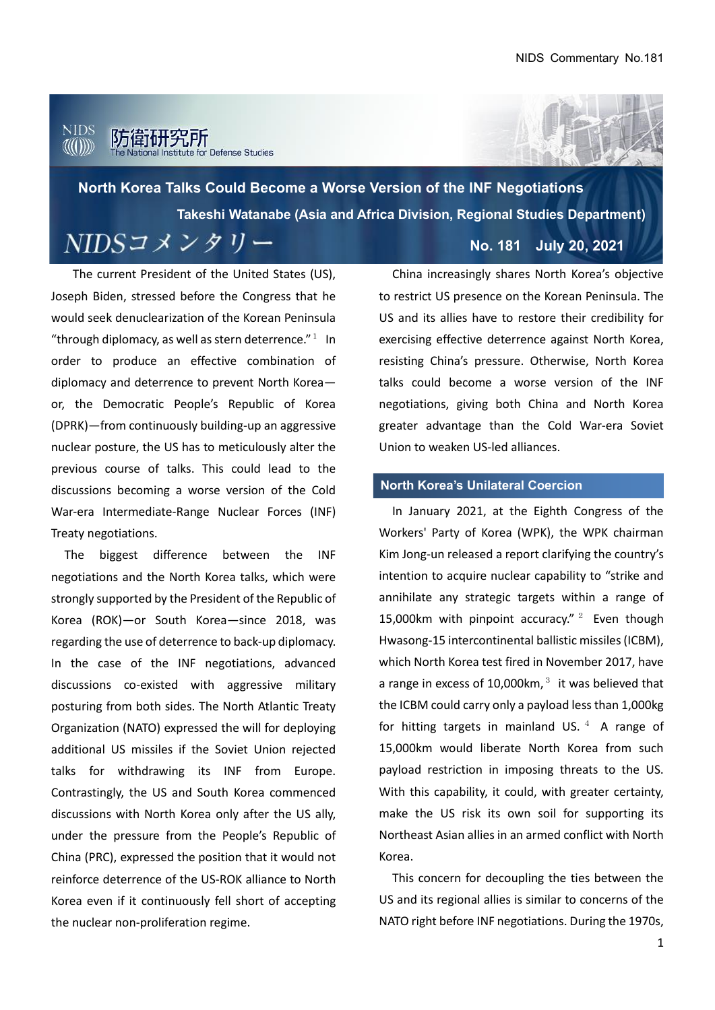#### nids 不讲究所 or Defense Studies

**North Korea Talks Could Become a Worse Version of the INF Negotiations Takeshi Watanabe (Asia and Africa Division, Regional Studies Department)** $NIDSZXYYU -$ **No. 181 July 20, 2021**

The current President of the United States (US), Joseph Biden, stressed before the Congress that he would seek denuclearization of the Korean Peninsula "through diplomacy, as well as stern deterrence." $1$  In order to produce an effective combination of diplomacy and deterrence to prevent North Korea or, the Democratic People's Republic of Korea (DPRK)—from continuously building-up an aggressive nuclear posture, the US has to meticulously alter the previous course of talks. This could lead to the discussions becoming a worse version of the Cold War-era Intermediate-Range Nuclear Forces (INF) Treaty negotiations.

The biggest difference between the INF negotiations and the North Korea talks, which were strongly supported by the President of the Republic of Korea (ROK)—or South Korea—since 2018, was regarding the use of deterrence to back-up diplomacy. In the case of the INF negotiations, advanced discussions co-existed with aggressive military posturing from both sides. The North Atlantic Treaty Organization (NATO) expressed the will for deploying additional US missiles if the Soviet Union rejected talks for withdrawing its INF from Europe. Contrastingly, the US and South Korea commenced discussions with North Korea only after the US ally, under the pressure from the People's Republic of China (PRC), expressed the position that it would not reinforce deterrence of the US-ROK alliance to North Korea even if it continuously fell short of accepting the nuclear non-proliferation regime.

China increasingly shares North Korea's objective to restrict US presence on the Korean Peninsula. The US and its allies have to restore their credibility for exercising effective deterrence against North Korea, resisting China's pressure. Otherwise, North Korea talks could become a worse version of the INF negotiations, giving both China and North Korea greater advantage than the Cold War-era Soviet Union to weaken US-led alliances.

#### **North Korea's Unilateral Coercion**

In January 2021, at the Eighth Congress of the Workers' Party of Korea (WPK), the WPK chairman Kim Jong-un released a report clarifying the country's intention to acquire nuclear capability to "strike and annihilate any strategic targets within a range of 15,000km with pinpoint accuracy."  $2^{\circ}$  Even though Hwasong-15 intercontinental ballistic missiles (ICBM), which North Korea test fired in November 2017, have a range in excess of 10,000 km, $3$  it was believed that the ICBM could carry only a payload less than 1,000kg for hitting targets in mainland US.  $4\text{ A}$  range of 15,000km would liberate North Korea from such payload restriction in imposing threats to the US. With this capability, it could, with greater certainty, make the US risk its own soil for supporting its Northeast Asian allies in an armed conflict with North Korea.

This concern for decoupling the ties between the US and its regional allies is similar to concerns of the NATO right before INF negotiations. During the 1970s,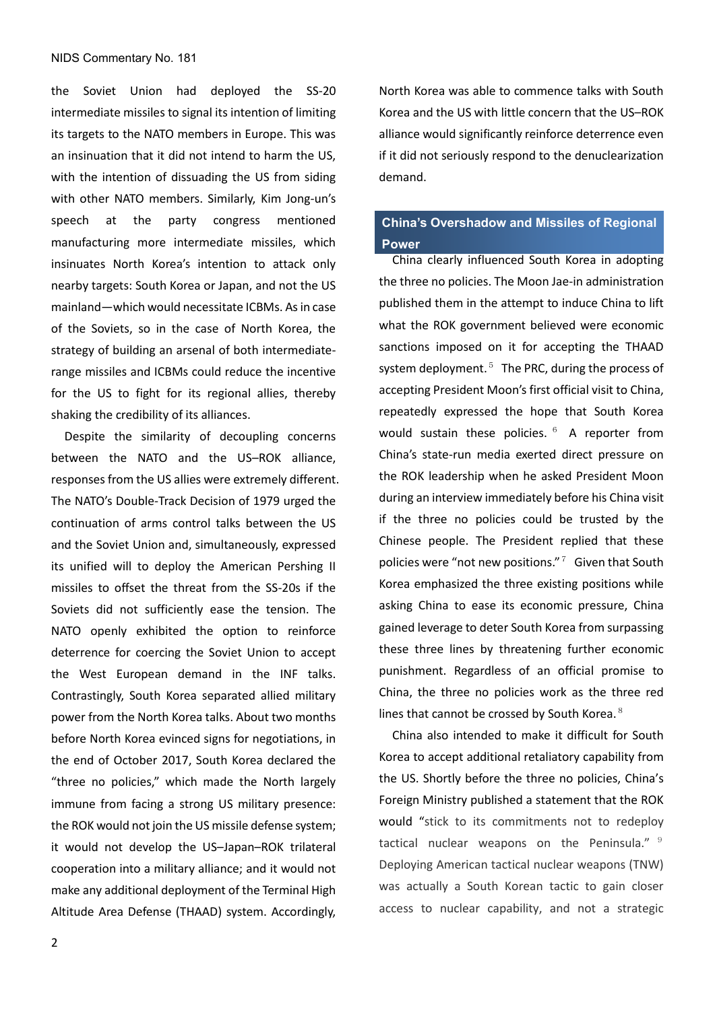#### NIDS Commentary No. 181

the Soviet Union had deployed the SS-20 intermediate missiles to signal its intention of limiting its targets to the NATO members in Europe. This was an insinuation that it did not intend to harm the US, with the intention of dissuading the US from siding with other NATO members. Similarly, Kim Jong-un's speech at the party congress mentioned manufacturing more intermediate missiles, which insinuates North Korea's intention to attack only nearby targets: South Korea or Japan, and not the US mainland—which would necessitate ICBMs. As in case of the Soviets, so in the case of North Korea, the strategy of building an arsenal of both intermediaterange missiles and ICBMs could reduce the incentive for the US to fight for its regional allies, thereby shaking the credibility of its alliances.

Despite the similarity of decoupling concerns between the NATO and the US–ROK alliance, responses from the US allies were extremely different. The NATO's Double-Track Decision of 1979 urged the continuation of arms control talks between the US and the Soviet Union and, simultaneously, expressed its unified will to deploy the American Pershing II missiles to offset the threat from the SS-20s if the Soviets did not sufficiently ease the tension. The NATO openly exhibited the option to reinforce deterrence for coercing the Soviet Union to accept the West European demand in the INF talks. Contrastingly, South Korea separated allied military power from the North Korea talks. About two months before North Korea evinced signs for negotiations, in the end of October 2017, South Korea declared the "three no policies," which made the North largely immune from facing a strong US military presence: the ROK would not join the US missile defense system; it would not develop the US–Japan–ROK trilateral cooperation into a military alliance; and it would not make any additional deployment of the Terminal High Altitude Area Defense (THAAD) system. Accordingly,

2

North Korea was able to commence talks with South Korea and the US with little concern that the US–ROK alliance would significantly reinforce deterrence even if it did not seriously respond to the denuclearization demand.

### **China's Overshadow and Missiles of Regional Power**

China clearly influenced South Korea in adopting the three no policies. The Moon Jae-in administration published them in the attempt to induce China to lift what the ROK government believed were economic sanctions imposed on it for accepting the THAAD system deployment. $5$  The PRC, during the process of accepting President Moon's first official visit to China, repeatedly expressed the hope that South Korea would sustain these policies. <sup>6</sup> A reporter from China's state-run media exerted direct pressure on the ROK leadership when he asked President Moon during an interview immediately before his China visit if the three no policies could be trusted by the Chinese people. The President replied that these policies were "not new positions."  $7\,$  Given that South Korea emphasized the three existing positions while asking China to ease its economic pressure, China gained leverage to deter South Korea from surpassing these three lines by threatening further economic punishment. Regardless of an official promise to China, the three no policies work as the three red lines that cannot be crossed by South Korea. $8$ 

 China also intended to make it difficult for South Korea to accept additional retaliatory capability from the US. Shortly before the three no policies, China's Foreign Ministry published a statement that the ROK would "stick to its commitments not to redeploy tactical nuclear weapons on the Peninsula."  $9$ Deploying American tactical nuclear weapons (TNW) was actually a South Korean tactic to gain closer access to nuclear capability, and not a strategic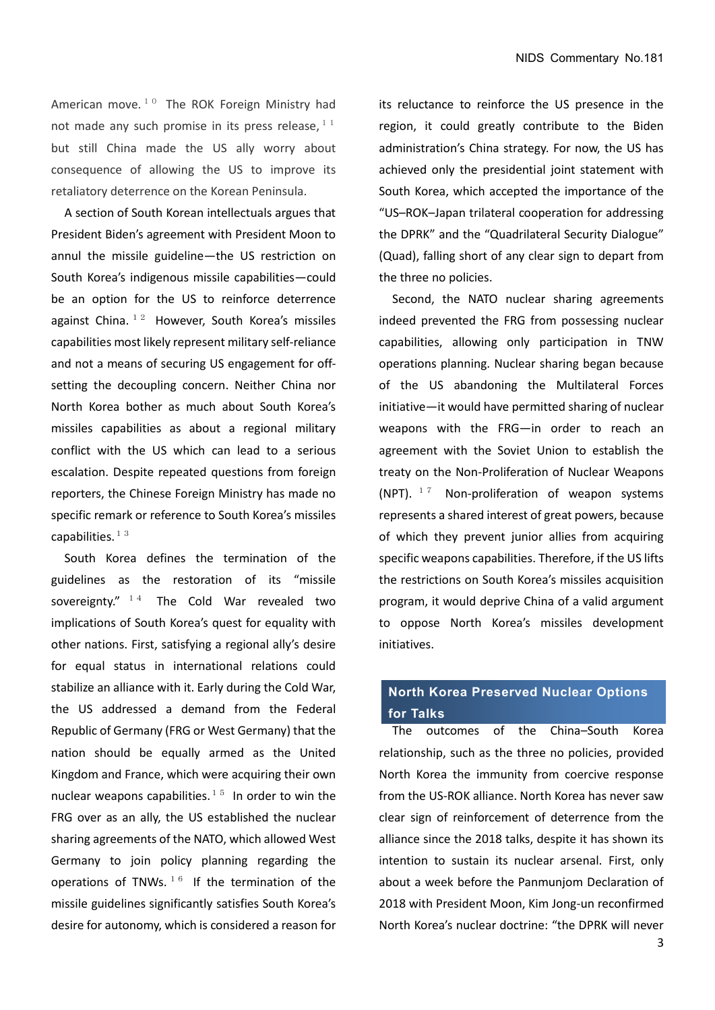American move. $10$  The ROK Foreign Ministry had not made any such promise in its press release,  $11$ but still China made the US ally worry about consequence of allowing the US to improve its retaliatory deterrence on the Korean Peninsula.

A section of South Korean intellectuals argues that President Biden's agreement with President Moon to annul the missile guideline—the US restriction on South Korea's indigenous missile capabilities—could be an option for the US to reinforce deterrence against China.  $12$  However, South Korea's missiles capabilities most likely represent military self-reliance and not a means of securing US engagement for offsetting the decoupling concern. Neither China nor North Korea bother as much about South Korea's missiles capabilities as about a regional military conflict with the US which can lead to a serious escalation. Despite repeated questions from foreign reporters, the Chinese Foreign Ministry has made no specific remark or reference to South Korea's missiles capabilities. $13$ 

South Korea defines the termination of the guidelines as the restoration of its "missile sovereignty."  $14$  The Cold War revealed two implications of South Korea's quest for equality with other nations. First, satisfying a regional ally's desire for equal status in international relations could stabilize an alliance with it. Early during the Cold War, the US addressed a demand from the Federal Republic of Germany (FRG or West Germany) that the nation should be equally armed as the United Kingdom and France, which were acquiring their own nuclear weapons capabilities.<sup>15</sup> In order to win the FRG over as an ally, the US established the nuclear sharing agreements of the NATO, which allowed West Germany to join policy planning regarding the operations of TNWs.  $16$  If the termination of the missile guidelines significantly satisfies South Korea's desire for autonomy, which is considered a reason for its reluctance to reinforce the US presence in the region, it could greatly contribute to the Biden administration's China strategy. For now, the US has achieved only the presidential joint statement with South Korea, which accepted the importance of the "US–ROK–Japan trilateral cooperation for addressing the DPRK" and the "Quadrilateral Security Dialogue" (Quad), falling short of any clear sign to depart from the three no policies.

Second, the NATO nuclear sharing agreements indeed prevented the FRG from possessing nuclear capabilities, allowing only participation in TNW operations planning. Nuclear sharing began because of the US abandoning the Multilateral Forces initiative—it would have permitted sharing of nuclear weapons with the FRG—in order to reach an agreement with the Soviet Union to establish the treaty on the Non-Proliferation of Nuclear Weapons (NPT).  $17$  Non-proliferation of weapon systems represents a shared interest of great powers, because of which they prevent junior allies from acquiring specific weapons capabilities. Therefore, if the US lifts the restrictions on South Korea's missiles acquisition program, it would deprive China of a valid argument to oppose North Korea's missiles development initiatives.

## **North Korea Preserved Nuclear Options for Talks**

The outcomes of the China–South Korea relationship, such as the three no policies, provided North Korea the immunity from coercive response from the US-ROK alliance. North Korea has never saw clear sign of reinforcement of deterrence from the alliance since the 2018 talks, despite it has shown its intention to sustain its nuclear arsenal. First, only about a week before the Panmunjom Declaration of 2018 with President Moon, Kim Jong-un reconfirmed North Korea's nuclear doctrine: "the DPRK will never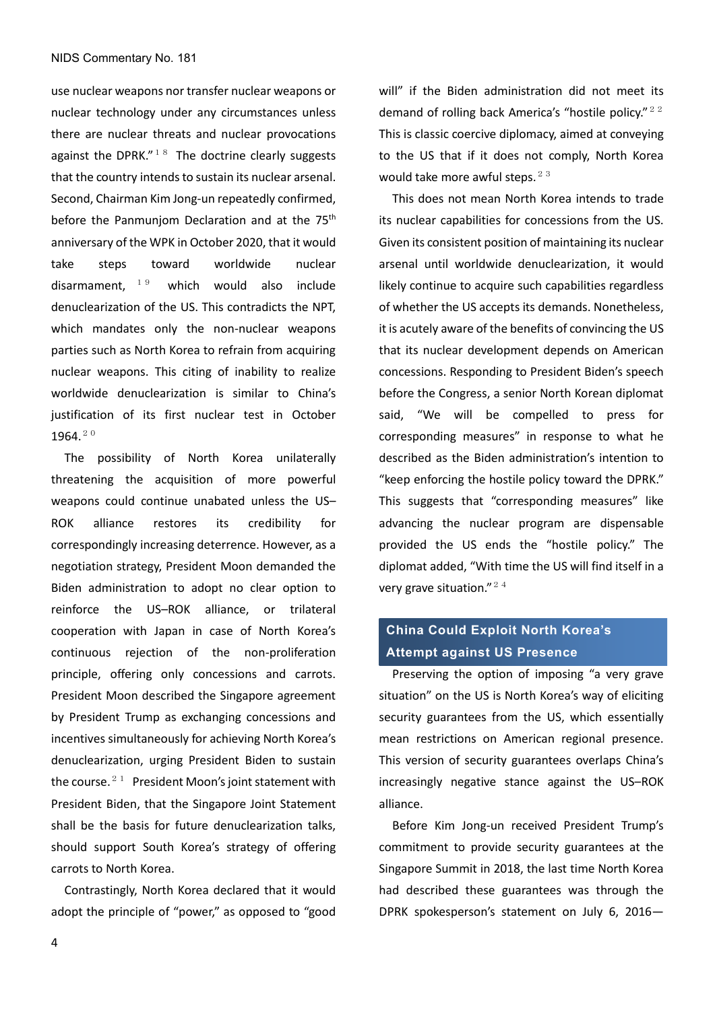use nuclear weapons nor transfer nuclear weapons or nuclear technology under any circumstances unless there are nuclear threats and nuclear provocations against the DPRK." $18$  The doctrine clearly suggests that the country intends to sustain its nuclear arsenal. Second, Chairman Kim Jong-un repeatedly confirmed, before the Panmunjom Declaration and at the 75<sup>th</sup> anniversary of the WPK in October 2020, that it would take steps toward worldwide nuclear disarmament,  $19$  which would also include denuclearization of the US. This contradicts the NPT, which mandates only the non-nuclear weapons parties such as North Korea to refrain from acquiring nuclear weapons. This citing of inability to realize worldwide denuclearization is similar to China's justification of its first nuclear test in October 1964.20

The possibility of North Korea unilaterally threatening the acquisition of more powerful weapons could continue unabated unless the US– ROK alliance restores its credibility for correspondingly increasing deterrence. However, as a negotiation strategy, President Moon demanded the Biden administration to adopt no clear option to reinforce the US–ROK alliance, or trilateral cooperation with Japan in case of North Korea's continuous rejection of the non-proliferation principle, offering only concessions and carrots. President Moon described the Singapore agreement by President Trump as exchanging concessions and incentives simultaneously for achieving North Korea's denuclearization, urging President Biden to sustain the course.<sup>21</sup> President Moon's joint statement with President Biden, that the Singapore Joint Statement shall be the basis for future denuclearization talks, should support South Korea's strategy of offering carrots to North Korea.

Contrastingly, North Korea declared that it would adopt the principle of "power," as opposed to "good will" if the Biden administration did not meet its demand of rolling back America's "hostile policy." $22$ This is classic coercive diplomacy, aimed at conveying to the US that if it does not comply, North Korea would take more awful steps.  $23$ 

 This does not mean North Korea intends to trade its nuclear capabilities for concessions from the US. Given its consistent position of maintaining its nuclear arsenal until worldwide denuclearization, it would likely continue to acquire such capabilities regardless of whether the US accepts its demands. Nonetheless, it is acutely aware of the benefits of convincing the US that its nuclear development depends on American concessions. Responding to President Biden's speech before the Congress, a senior North Korean diplomat said, "We will be compelled to press for corresponding measures" in response to what he described as the Biden administration's intention to "keep enforcing the hostile policy toward the DPRK." This suggests that "corresponding measures" like advancing the nuclear program are dispensable provided the US ends the "hostile policy." The diplomat added, "With time the US will find itself in a very grave situation." $24$ 

# . **Attempt against US Presence China Could Exploit North Korea's**

Preserving the option of imposing "a very grave situation" on the US is North Korea's way of eliciting security guarantees from the US, which essentially mean restrictions on American regional presence. This version of security guarantees overlaps China's increasingly negative stance against the US–ROK alliance.

Before Kim Jong-un received President Trump's commitment to provide security guarantees at the Singapore Summit in 2018, the last time North Korea had described these guarantees was through the DPRK spokesperson's statement on July 6, 2016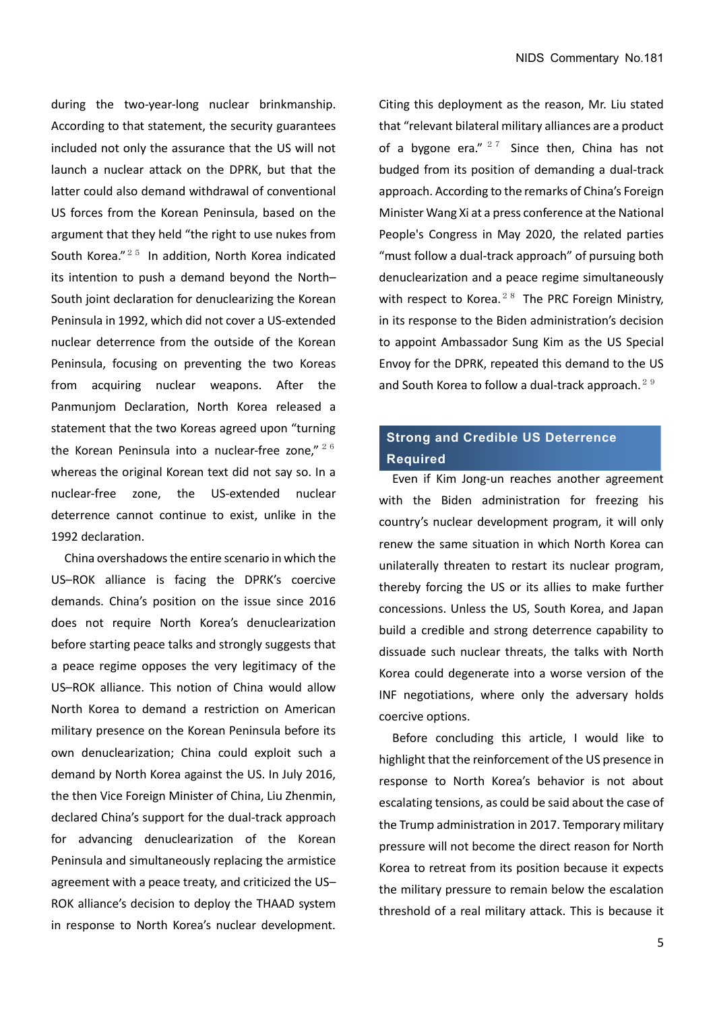during the two-year-long nuclear brinkmanship. According to that statement, the security guarantees included not only the assurance that the US will not launch a nuclear attack on the DPRK, but that the latter could also demand withdrawal of conventional US forces from the Korean Peninsula, based on the argument that they held "the right to use nukes from South Korea."<sup>25</sup> In addition, North Korea indicated its intention to push a demand beyond the North– South joint declaration for denuclearizing the Korean Peninsula in 1992, which did not cover a US-extended nuclear deterrence from the outside of the Korean Peninsula, focusing on preventing the two Koreas from acquiring nuclear weapons. After the Panmunjom Declaration, North Korea released a statement that the two Koreas agreed upon "turning the Korean Peninsula into a nuclear-free zone,"  $26$ whereas the original Korean text did not say so. In a nuclear-free zone, the US-extended nuclear deterrence cannot continue to exist, unlike in the 1992 declaration.

China overshadows the entire scenario in which the US–ROK alliance is facing the DPRK's coercive demands. China's position on the issue since 2016 does not require North Korea's denuclearization before starting peace talks and strongly suggests that a peace regime opposes the very legitimacy of the US–ROK alliance. This notion of China would allow North Korea to demand a restriction on American military presence on the Korean Peninsula before its own denuclearization; China could exploit such a demand by North Korea against the US. In July 2016, the then Vice Foreign Minister of China, Liu Zhenmin, declared China's support for the dual-track approach for advancing denuclearization of the Korean Peninsula and simultaneously replacing the armistice agreement with a peace treaty, and criticized the US– ROK alliance's decision to deploy the THAAD system in response to North Korea's nuclear development.

Citing this deployment as the reason, Mr. Liu stated that "relevant bilateral military alliances are a product of a bygone era."  $27$  Since then, China has not budged from its position of demanding a dual-track approach. According to the remarks of China's Foreign Minister Wang Xi at a press conference at the National People's Congress in May 2020, the related parties "must follow a dual-track approach" of pursuing both denuclearization and a peace regime simultaneously with respect to Korea. $28$  The PRC Foreign Ministry. in its response to the Biden administration's decision to appoint Ambassador Sung Kim as the US Special Envoy for the DPRK, repeated this demand to the US and South Korea to follow a dual-track approach.<sup>29</sup>

### **Strong and Credible US Deterrence Required**

Even if Kim Jong-un reaches another agreement with the Biden administration for freezing his country's nuclear development program, it will only renew the same situation in which North Korea can unilaterally threaten to restart its nuclear program, thereby forcing the US or its allies to make further concessions. Unless the US, South Korea, and Japan build a credible and strong deterrence capability to dissuade such nuclear threats, the talks with North Korea could degenerate into a worse version of the INF negotiations, where only the adversary holds coercive options.

Before concluding this article, I would like to highlight that the reinforcement of the US presence in response to North Korea's behavior is not about escalating tensions, as could be said about the case of the Trump administration in 2017. Temporary military pressure will not become the direct reason for North Korea to retreat from its position because it expects the military pressure to remain below the escalation threshold of a real military attack. This is because it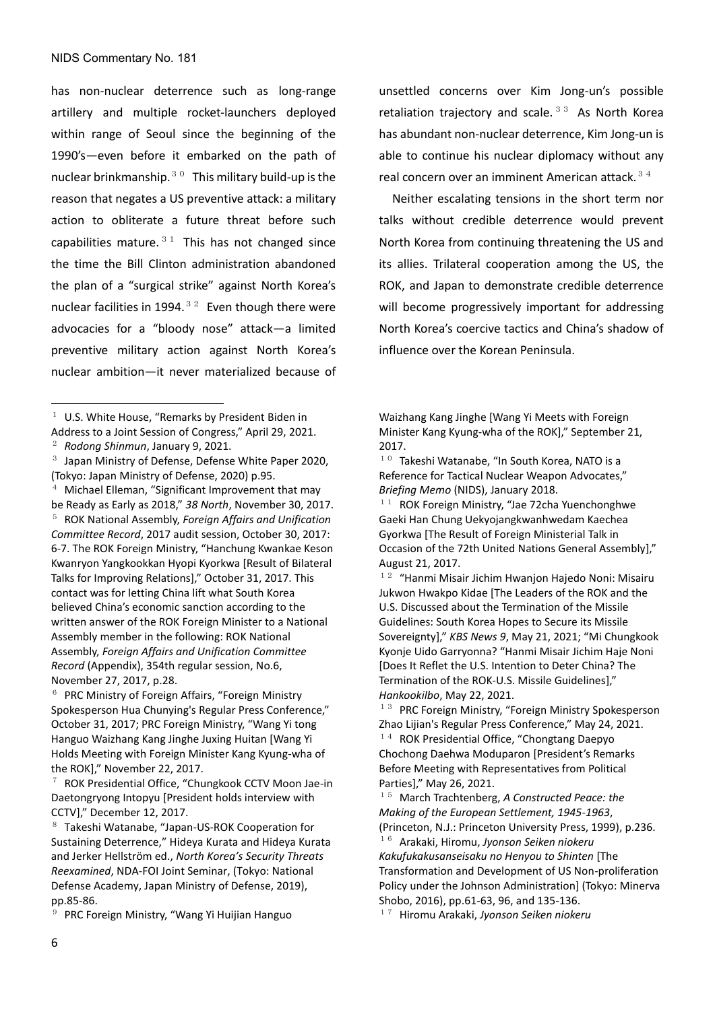has non-nuclear deterrence such as long-range artillery and multiple rocket-launchers deployed within range of Seoul since the beginning of the 1990's—even before it embarked on the path of nuclear brinkmanship. $30$  This military build-up is the reason that negates a US preventive attack: a military action to obliterate a future threat before such capabilities mature. $31$  This has not changed since the time the Bill Clinton administration abandoned the plan of a "surgical strike" against North Korea's nuclear facilities in 1994. $32$  Even though there were advocacies for a "bloody nose" attack—a limited preventive military action against North Korea's nuclear ambition—it never materialized because of

<sup>4</sup> Michael Elleman, "Significant Improvement that may be Ready as Early as 2018," *38 North*, November 30, 2017. <sup>5</sup> ROK National Assembly, *Foreign Affairs and Unification Committee Record*, 2017 audit session, October 30, 2017: 6-7. The ROK Foreign Ministry, "Hanchung Kwankae Keson Kwanryon Yangkookkan Hyopi Kyorkwa [Result of Bilateral Talks for Improving Relations]," October 31, 2017. This contact was for letting China lift what South Korea believed China's economic sanction according to the written answer of the ROK Foreign Minister to a National Assembly member in the following: ROK National Assembly, *Foreign Affairs and Unification Committee Record* (Appendix), 354th regular session, No.6, November 27, 2017, p.28.

 $6$  PRC Ministry of Foreign Affairs, "Foreign Ministry Spokesperson Hua Chunying's Regular Press Conference," October 31, 2017; PRC Foreign Ministry, "Wang Yi tong Hanguo Waizhang Kang Jinghe Juxing Huitan [Wang Yi Holds Meeting with Foreign Minister Kang Kyung-wha of the ROK]," November 22, 2017.

<sup>9</sup> PRC Foreign Ministry, "Wang Yi Huijian Hanguo

unsettled concerns over Kim Jong-un's possible retaliation trajectory and scale. $33$  As North Korea has abundant non-nuclear deterrence, Kim Jong-un is able to continue his nuclear diplomacy without any real concern over an imminent American attack.  $3/4$ 

Neither escalating tensions in the short term nor talks without credible deterrence would prevent North Korea from continuing threatening the US and its allies. Trilateral cooperation among the US, the ROK, and Japan to demonstrate credible deterrence will become progressively important for addressing North Korea's coercive tactics and China's shadow of influence over the Korean Peninsula.

Waizhang Kang Jinghe [Wang Yi Meets with Foreign Minister Kang Kyung-wha of the ROK]," September 21, 2017.

 $10$  Takeshi Watanabe, "In South Korea, NATO is a Reference for Tactical Nuclear Weapon Advocates," *Briefing Memo* (NIDS), January 2018.

 $11$  ROK Foreign Ministry, "Jae 72cha Yuenchonghwe Gaeki Han Chung Uekyojangkwanhwedam Kaechea Gyorkwa [The Result of Foreign Ministerial Talk in Occasion of the 72th United Nations General Assembly]," August 21, 2017.

 $12$  "Hanmi Misair Jichim Hwanjon Hajedo Noni: Misairu Jukwon Hwakpo Kidae [The Leaders of the ROK and the U.S. Discussed about the Termination of the Missile Guidelines: South Korea Hopes to Secure its Missile Sovereignty]," *KBS News 9*, May 21, 2021; "Mi Chungkook Kyonje Uido Garryonna? "Hanmi Misair Jichim Haje Noni [Does It Reflet the U.S. Intention to Deter China? The Termination of the ROK-U.S. Missile Guidelines]," *Hankookilbo*, May 22, 2021.

 $13$  PRC Foreign Ministry, "Foreign Ministry Spokesperson Zhao Lijian's Regular Press Conference," May 24, 2021.  $14$  ROK Presidential Office, "Chongtang Daepyo Chochong Daehwa Moduparon [President's Remarks Before Meeting with Representatives from Political Parties]," May 26, 2021.

<sup>15</sup> March Trachtenberg, *A Constructed Peace: the Making of the European Settlement, 1945-1963*, (Princeton, N.J.: Princeton University Press, 1999), p.236.

<sup>16</sup> Arakaki, Hiromu, *Jyonson Seiken niokeru Kakufukakusanseisaku no Henyou to Shinten* [The Transformation and Development of US Non-proliferation Policy under the Johnson Administration] (Tokyo: Minerva Shobo, 2016), pp.61-63, 96, and 135-136.

<sup>17</sup> Hiromu Arakaki, *Jyonson Seiken niokeru* 

 $1$  U.S. White House, "Remarks by President Biden in Address to a Joint Session of Congress," April 29, 2021.

<sup>2</sup> *Rodong Shinmun*, January 9, 2021.

<sup>3</sup> Japan Ministry of Defense, Defense White Paper 2020, (Tokyo: Japan Ministry of Defense, 2020) p.95.

<sup>7</sup> ROK Presidential Office, "Chungkook CCTV Moon Jae-in Daetongryong Intopyu [President holds interview with CCTV]," December 12, 2017.

<sup>8</sup> Takeshi Watanabe, "Japan-US-ROK Cooperation for Sustaining Deterrence," Hideya Kurata and Hideya Kurata and Jerker Hellström ed., *North Korea's Security Threats Reexamined*, NDA-FOI Joint Seminar, (Tokyo: National Defense Academy, Japan Ministry of Defense, 2019), pp.85-86.